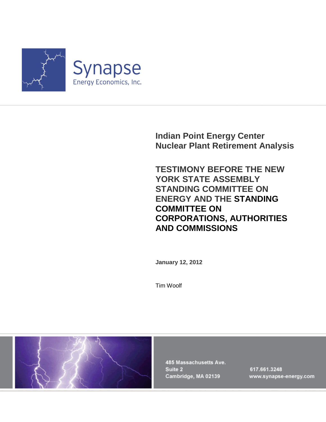

**Indian Point Energy Center Nuclear Plant Retirement Analysis**

**TESTIMONY BEFORE THE NEW YORK STATE ASSEMBLY STANDING COMMITTEE ON ENERGY AND THE STANDING COMMITTEE ON CORPORATIONS, AUTHORITIES AND COMMISSIONS**

**January 12, 2012**

Tim Woolf



485 Massachusetts Ave. Suite 2 Cambridge, MA 02139

617.661.3248 www.synapse-energy.com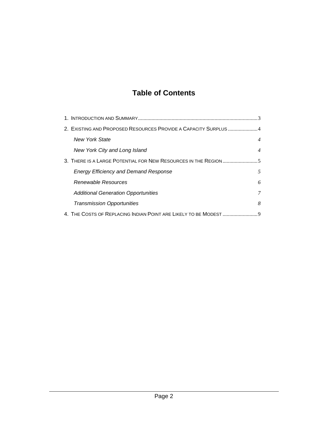# **Table of Contents**

| 2. EXISTING AND PROPOSED RESOURCES PROVIDE A CAPACITY SURPLUS 4 |                |  |  |  |
|-----------------------------------------------------------------|----------------|--|--|--|
| <b>New York State</b>                                           | $\overline{4}$ |  |  |  |
| New York City and Long Island                                   | $\overline{4}$ |  |  |  |
| 3. THERE IS A LARGE POTENTIAL FOR NEW RESOURCES IN THE REGION 5 |                |  |  |  |
| <b>Energy Efficiency and Demand Response</b>                    | 5              |  |  |  |
| Renewable Resources                                             | 6              |  |  |  |
| <b>Additional Generation Opportunities</b>                      | 7              |  |  |  |
| <b>Transmission Opportunities</b>                               | 8              |  |  |  |
|                                                                 |                |  |  |  |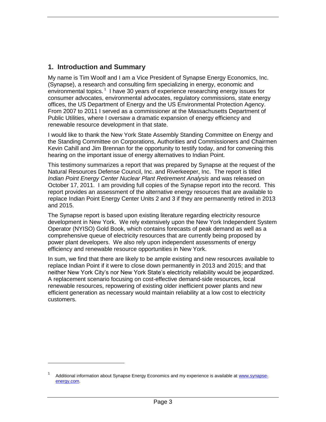## <span id="page-2-0"></span>**1. Introduction and Summary**

My name is Tim Woolf and I am a Vice President of Synapse Energy Economics, Inc. (Synapse), a research and consulting firm specializing in energy, economic and environmental topics.<sup>1</sup> I have 30 years of experience researching energy issues for consumer advocates, environmental advocates, regulatory commissions, state energy offices, the US Department of Energy and the US Environmental Protection Agency. From 2007 to 2011 I served as a commissioner at the Massachusetts Department of Public Utilities, where I oversaw a dramatic expansion of energy efficiency and renewable resource development in that state.

I would like to thank the New York State Assembly Standing Committee on Energy and the Standing Committee on Corporations, Authorities and Commissioners and Chairmen Kevin Cahill and Jim Brennan for the opportunity to testify today, and for convening this hearing on the important issue of energy alternatives to Indian Point.

This testimony summarizes a report that was prepared by Synapse at the request of the Natural Resources Defense Council, Inc. and Riverkeeper, Inc. The report is titled *Indian Point Energy Center Nuclear Plant Retirement Analysis* and was released on October 17, 2011. I am providing full copies of the Synapse report into the record. This report provides an assessment of the alternative energy resources that are available to replace Indian Point Energy Center Units 2 and 3 if they are permanently retired in 2013 and 2015.

The Synapse report is based upon existing literature regarding electricity resource development in New York. We rely extensively upon the New York Independent System Operator (NYISO) Gold Book, which contains forecasts of peak demand as well as a comprehensive queue of electricity resources that are currently being proposed by power plant developers. We also rely upon independent assessments of energy efficiency and renewable resource opportunities in New York.

In sum, we find that there are likely to be ample existing and new resources available to replace Indian Point if it were to close down permanently in 2013 and 2015; and that neither New York City's nor New York State's electricity reliability would be jeopardized. A replacement scenario focusing on cost-effective demand-side resources, local renewable resources, repowering of existing older inefficient power plants and new efficient generation as necessary would maintain reliability at a low cost to electricity customers.

<sup>1</sup> Additional information about Synapse Energy Economics and my experience is available at [www.synapse](http://www.synapse-energy.com/)[energy.com.](http://www.synapse-energy.com/)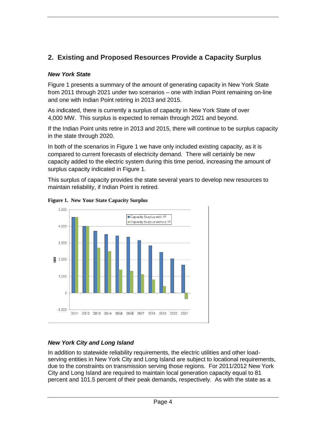# <span id="page-3-0"></span>**2. Existing and Proposed Resources Provide a Capacity Surplus**

#### <span id="page-3-1"></span>*New York State*

Figure 1 presents a summary of the amount of generating capacity in New York State from 2011 through 2021 under two scenarios – one with Indian Point remaining on-line and one with Indian Point retiring in 2013 and 2015.

As indicated, there is currently a surplus of capacity in New York State of over 4,000 MW. This surplus is expected to remain through 2021 and beyond.

If the Indian Point units retire in 2013 and 2015, there will continue to be surplus capacity in the state through 2020.

In both of the scenarios in Figure 1 we have only included existing capacity, as it is compared to current forecasts of electricity demand. There will certainly be new capacity added to the electric system during this time period, increasing the amount of surplus capacity indicated in Figure 1.

This surplus of capacity provides the state several years to develop new resources to maintain reliability, if Indian Point is retired.



**Figure 1. New Your State Capacity Surplus**

## <span id="page-3-2"></span>*New York City and Long Island*

In addition to statewide reliability requirements, the electric utilities and other loadserving entities in New York City and Long Island are subject to locational requirements, due to the constraints on transmission serving those regions. For 2011/2012 New York City and Long Island are required to maintain local generation capacity equal to 81 percent and 101.5 percent of their peak demands, respectively. As with the state as a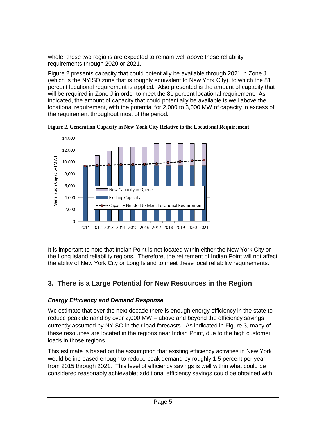whole, these two regions are expected to remain well above these reliability requirements through 2020 or 2021.

Figure 2 presents capacity that could potentially be available through 2021 in Zone J (which is the NYISO zone that is roughly equivalent to New York City), to which the 81 percent locational requirement is applied. Also presented is the amount of capacity that will be required in Zone J in order to meet the 81 percent locational requirement. As indicated, the amount of capacity that could potentially be available is well above the locational requirement, with the potential for 2,000 to 3,000 MW of capacity in excess of the requirement throughout most of the period.



**Figure 2. Generation Capacity in New York City Relative to the Locational Requirement**

<span id="page-4-0"></span>It is important to note that Indian Point is not located within either the New York City or the Long Island reliability regions. Therefore, the retirement of Indian Point will not affect the ability of New York City or Long Island to meet these local reliability requirements.

# **3. There is a Large Potential for New Resources in the Region**

## <span id="page-4-1"></span>*Energy Efficiency and Demand Response*

We estimate that over the next decade there is enough energy efficiency in the state to reduce peak demand by over 2,000 MW – above and beyond the efficiency savings currently assumed by NYISO in their load forecasts. As indicated in Figure 3, many of these resources are located in the regions near Indian Point, due to the high customer loads in those regions.

This estimate is based on the assumption that existing efficiency activities in New York would be increased enough to reduce peak demand by roughly 1.5 percent per year from 2015 through 2021. This level of efficiency savings is well within what could be considered reasonably achievable; additional efficiency savings could be obtained with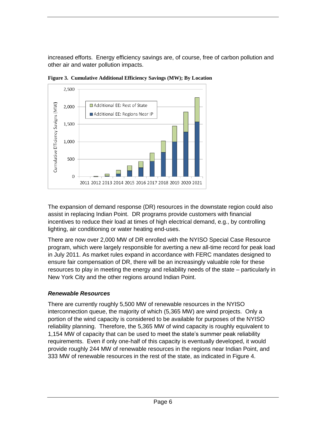increased efforts. Energy efficiency savings are, of course, free of carbon pollution and other air and water pollution impacts.



**Figure 3. Cumulative Additional Efficiency Savings (MW); By Location**

<span id="page-5-0"></span>The expansion of demand response (DR) resources in the downstate region could also assist in replacing Indian Point. DR programs provide customers with financial incentives to reduce their load at times of high electrical demand, e.g., by controlling lighting, air conditioning or water heating end-uses.

There are now over 2,000 MW of DR enrolled with the NYISO Special Case Resource program, which were largely responsible for averting a new all-time record for peak load in July 2011. As market rules expand in accordance with FERC mandates designed to ensure fair compensation of DR, there will be an increasingly valuable role for these resources to play in meeting the energy and reliability needs of the state – particularly in New York City and the other regions around Indian Point.

#### *Renewable Resources*

There are currently roughly 5,500 MW of renewable resources in the NYISO interconnection queue, the majority of which (5,365 MW) are wind projects. Only a portion of the wind capacity is considered to be available for purposes of the NYISO reliability planning. Therefore, the 5,365 MW of wind capacity is roughly equivalent to 1,154 MW of capacity that can be used to meet the state's summer peak reliability requirements. Even if only one-half of this capacity is eventually developed, it would provide roughly 244 MW of renewable resources in the regions near Indian Point, and 333 MW of renewable resources in the rest of the state, as indicated in Figure 4.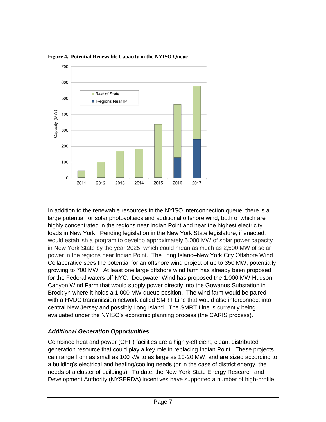

**Figure 4. Potential Renewable Capacity in the NYISO Queue**

<span id="page-6-0"></span>In addition to the renewable resources in the NYISO interconnection queue, there is a large potential for solar photovoltaics and additional offshore wind, both of which are highly concentrated in the regions near Indian Point and near the highest electricity loads in New York. Pending legislation in the New York State legislature, if enacted, would establish a program to develop approximately 5,000 MW of solar power capacity in New York State by the year 2025, which could mean as much as 2,500 MW of solar power in the regions near Indian Point. The Long Island–New York City Offshore Wind Collaborative sees the potential for an offshore wind project of up to 350 MW, potentially growing to 700 MW. At least one large offshore wind farm has already been proposed for the Federal waters off NYC. Deepwater Wind has proposed the 1,000 MW Hudson Canyon Wind Farm that would supply power directly into the Gowanus Substation in Brooklyn where it holds a 1,000 MW queue position. The wind farm would be paired with a HVDC transmission network called SMRT Line that would also interconnect into central New Jersey and possibly Long Island. The SMRT Line is currently being evaluated under the NYISO's economic planning process (the CARIS process).

#### *Additional Generation Opportunities*

Combined heat and power (CHP) facilities are a highly-efficient, clean, distributed generation resource that could play a key role in replacing Indian Point. These projects can range from as small as 100 kW to as large as 10-20 MW, and are sized according to a building's electrical and heating/cooling needs (or in the case of district energy, the needs of a cluster of buildings). To date, the New York State Energy Research and Development Authority (NYSERDA) incentives have supported a number of high-profile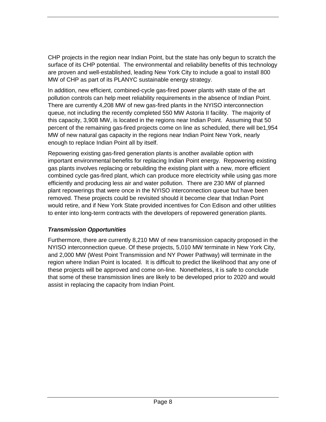CHP projects in the region near Indian Point, but the state has only begun to scratch the surface of its CHP potential. The environmental and reliability benefits of this technology are proven and well-established, leading New York City to include a goal to install 800 MW of CHP as part of its PLANYC sustainable energy strategy.

In addition, new efficient, combined-cycle gas-fired power plants with state of the art pollution controls can help meet reliability requirements in the absence of Indian Point. There are currently 4,208 MW of new gas-fired plants in the NYISO interconnection queue, not including the recently completed 550 MW Astoria II facility. The majority of this capacity, 3,908 MW, is located in the regions near Indian Point. Assuming that 50 percent of the remaining gas-fired projects come on line as scheduled, there will be1,954 MW of new natural gas capacity in the regions near Indian Point New York, nearly enough to replace Indian Point all by itself.

Repowering existing gas-fired generation plants is another available option with important environmental benefits for replacing Indian Point energy. Repowering existing gas plants involves replacing or rebuilding the existing plant with a new, more efficient combined cycle gas-fired plant, which can produce more electricity while using gas more efficiently and producing less air and water pollution. There are 230 MW of planned plant repowerings that were once in the NYISO interconnection queue but have been removed. These projects could be revisited should it become clear that Indian Point would retire, and if New York State provided incentives for Con Edison and other utilities to enter into long-term contracts with the developers of repowered generation plants.

#### <span id="page-7-0"></span>*Transmission Opportunities*

Furthermore, there are currently 8,210 MW of new transmission capacity proposed in the NYISO interconnection queue. Of these projects, 5,010 MW terminate in New York City, and 2,000 MW (West Point Transmission and NY Power Pathway) will terminate in the region where Indian Point is located. It is difficult to predict the likelihood that any one of these projects will be approved and come on-line. Nonetheless, it is safe to conclude that some of these transmission lines are likely to be developed prior to 2020 and would assist in replacing the capacity from Indian Point.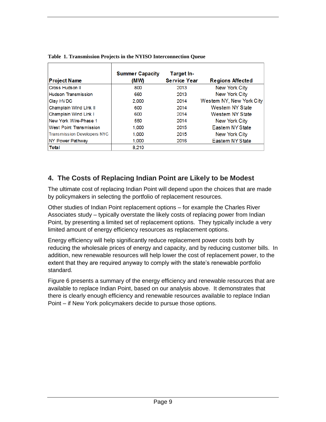| <b>Project Name</b>                | <b>Summer Capacity</b><br>(MW) | Target In-<br><b>Service Year</b> | <b>Regions Affected</b>  |
|------------------------------------|--------------------------------|-----------------------------------|--------------------------|
| Cross Hudson II                    | 800                            | 2013                              | New York City            |
| <b>Hudson Transmission</b>         | 660                            | 2013                              | <b>New York City</b>     |
| Clay HVDC                          | 2.000                          | 2014                              | Westem NY, New York City |
| Champlain Wind Link II             | 600                            | 2014                              | Westem NY State          |
| Champlain Wind Link I              | 600                            | 2014                              | Westem NY State          |
| New York Wire-Phase 1              | 550                            | 2014                              | New York City            |
| <b>West Point Transmission</b>     | 1.000                          | 2015                              | Eastern NY State         |
| <b>Transmission Developers NYC</b> | 1.000                          | 2015                              | New York City            |
| <b>NY Power Pathway</b>            | 1.000                          | 2016                              | Eastern NY State         |
| <b>Total</b>                       | 8.210                          |                                   |                          |

|  |  |  | Table 1. Transmission Projects in the NYISO Interconnection Queue |
|--|--|--|-------------------------------------------------------------------|
|  |  |  |                                                                   |

# <span id="page-8-0"></span>**4. The Costs of Replacing Indian Point are Likely to be Modest**

The ultimate cost of replacing Indian Point will depend upon the choices that are made by policymakers in selecting the portfolio of replacement resources.

Other studies of Indian Point replacement options – for example the Charles River Associates study – typically overstate the likely costs of replacing power from Indian Point, by presenting a limited set of replacement options. They typically include a very limited amount of energy efficiency resources as replacement options.

Energy efficiency will help significantly reduce replacement power costs both by reducing the wholesale prices of energy and capacity, and by reducing customer bills. In addition, new renewable resources will help lower the cost of replacement power, to the extent that they are required anyway to comply with the state's renewable portfolio standard.

Figure 6 presents a summary of the energy efficiency and renewable resources that are available to replace Indian Point, based on our analysis above. It demonstrates that there is clearly enough efficiency and renewable resources available to replace Indian Point – if New York policymakers decide to pursue those options.